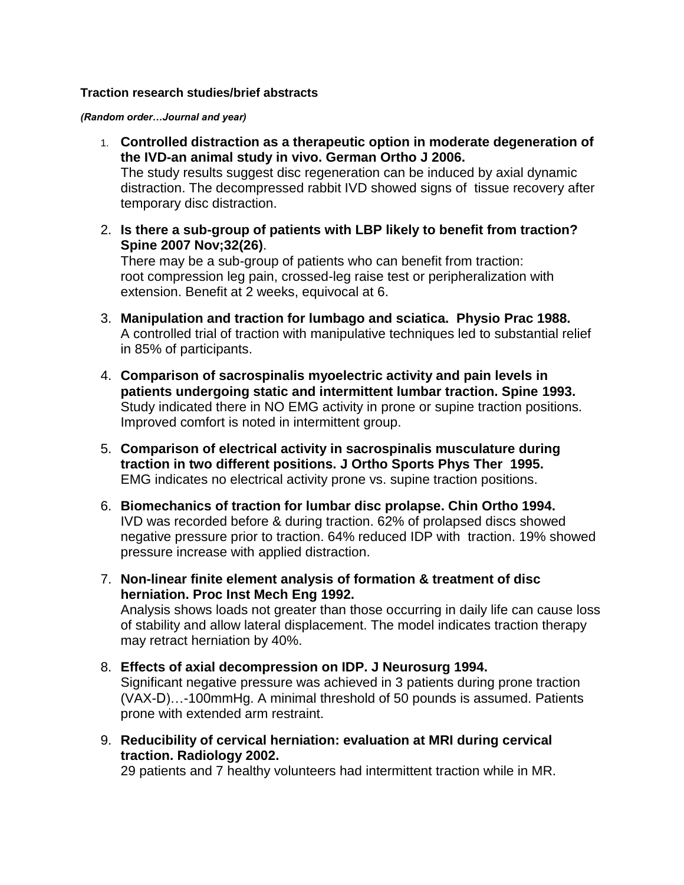#### **Traction research studies/brief abstracts**

*(Random order…Journal and year)*

- 1. **Controlled distraction as a therapeutic option in moderate degeneration of the IVD-an animal study in vivo. German Ortho J 2006.** The study results suggest disc regeneration can be induced by axial dynamic distraction. The decompressed rabbit IVD showed signs of tissue recovery after temporary disc distraction.
- 2. **Is there a sub-group of patients with LBP likely to benefit from traction? Spine 2007 Nov;32(26)**.

There may be a sub-group of patients who can benefit from traction: root compression leg pain, crossed-leg raise test or peripheralization with extension. Benefit at 2 weeks, equivocal at 6.

- 3. **Manipulation and traction for lumbago and sciatica. Physio Prac 1988.** A controlled trial of traction with manipulative techniques led to substantial relief in 85% of participants.
- 4. **Comparison of sacrospinalis myoelectric activity and pain levels in patients undergoing static and intermittent lumbar traction. Spine 1993.** Study indicated there in NO EMG activity in prone or supine traction positions. Improved comfort is noted in intermittent group.
- 5. **Comparison of electrical activity in sacrospinalis musculature during traction in two different positions. J Ortho Sports Phys Ther 1995.**  EMG indicates no electrical activity prone vs. supine traction positions.
- 6. **Biomechanics of traction for lumbar disc prolapse. Chin Ortho 1994.** IVD was recorded before & during traction. 62% of prolapsed discs showed negative pressure prior to traction. 64% reduced IDP with traction. 19% showed pressure increase with applied distraction.
- 7. **Non-linear finite element analysis of formation & treatment of disc herniation. Proc Inst Mech Eng 1992.** Analysis shows loads not greater than those occurring in daily life can cause loss of stability and allow lateral displacement. The model indicates traction therapy may retract herniation by 40%.
- 8. **Effects of axial decompression on IDP. J Neurosurg 1994.** Significant negative pressure was achieved in 3 patients during prone traction (VAX-D)…-100mmHg. A minimal threshold of 50 pounds is assumed. Patients prone with extended arm restraint.
- 9. **Reducibility of cervical herniation: evaluation at MRI during cervical traction. Radiology 2002.**

29 patients and 7 healthy volunteers had intermittent traction while in MR.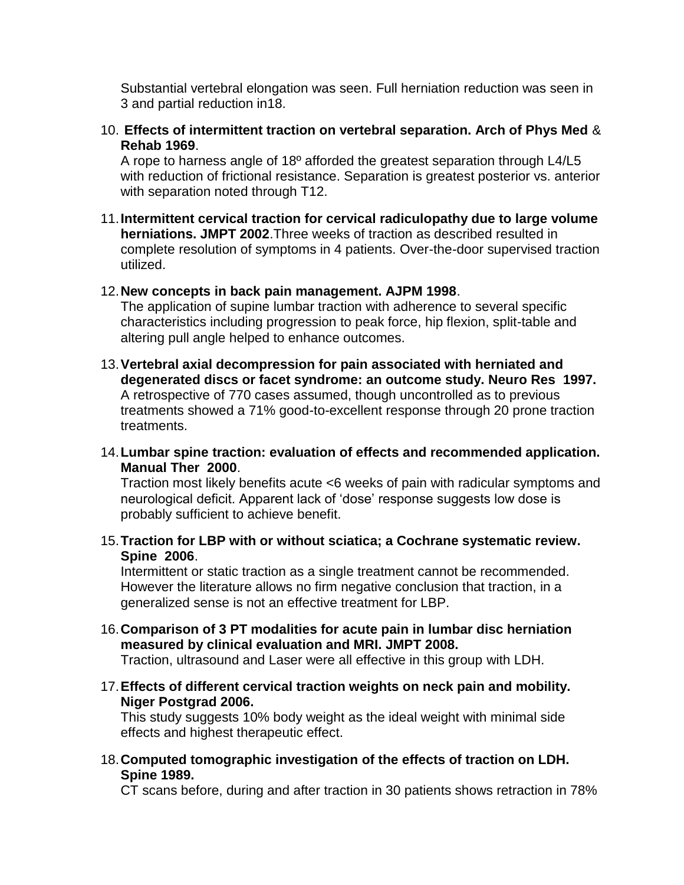Substantial vertebral elongation was seen. Full herniation reduction was seen in 3 and partial reduction in18.

10. **Effects of intermittent traction on vertebral separation. Arch of Phys Med** & **Rehab 1969**.

A rope to harness angle of 18º afforded the greatest separation through L4/L5 with reduction of frictional resistance. Separation is greatest posterior vs. anterior with separation noted through T12.

11.**Intermittent cervical traction for cervical radiculopathy due to large volume herniations. JMPT 2002**.Three weeks of traction as described resulted in complete resolution of symptoms in 4 patients. Over-the-door supervised traction utilized.

### 12.**New concepts in back pain management. AJPM 1998**.

The application of supine lumbar traction with adherence to several specific characteristics including progression to peak force, hip flexion, split-table and altering pull angle helped to enhance outcomes.

- 13.**Vertebral axial decompression for pain associated with herniated and degenerated discs or facet syndrome: an outcome study. Neuro Res 1997.** A retrospective of 770 cases assumed, though uncontrolled as to previous treatments showed a 71% good-to-excellent response through 20 prone traction treatments.
- 14.**Lumbar spine traction: evaluation of effects and recommended application. Manual Ther 2000**.

Traction most likely benefits acute <6 weeks of pain with radicular symptoms and neurological deficit. Apparent lack of "dose" response suggests low dose is probably sufficient to achieve benefit.

15.**Traction for LBP with or without sciatica; a Cochrane systematic review. Spine 2006**.

Intermittent or static traction as a single treatment cannot be recommended. However the literature allows no firm negative conclusion that traction, in a generalized sense is not an effective treatment for LBP.

16.**Comparison of 3 PT modalities for acute pain in lumbar disc herniation measured by clinical evaluation and MRI. JMPT 2008.**

Traction, ultrasound and Laser were all effective in this group with LDH.

17.**Effects of different cervical traction weights on neck pain and mobility. Niger Postgrad 2006.**

This study suggests 10% body weight as the ideal weight with minimal side effects and highest therapeutic effect.

18.**Computed tomographic investigation of the effects of traction on LDH. Spine 1989.** 

CT scans before, during and after traction in 30 patients shows retraction in 78%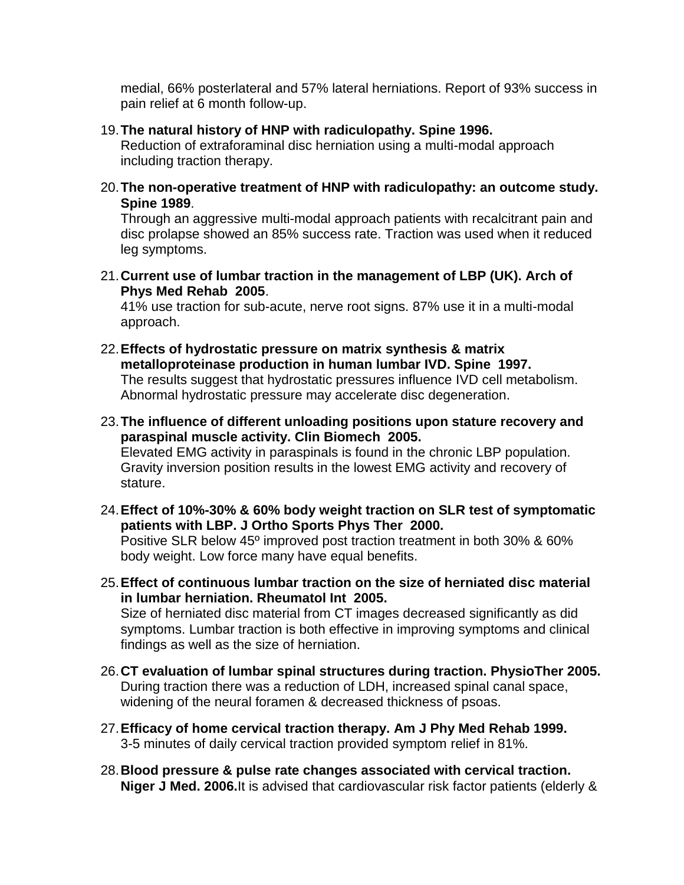medial, 66% posterlateral and 57% lateral herniations. Report of 93% success in pain relief at 6 month follow-up.

## 19.**The natural history of HNP with radiculopathy. Spine 1996.**

Reduction of extraforaminal disc herniation using a multi-modal approach including traction therapy.

20.**The non-operative treatment of HNP with radiculopathy: an outcome study. Spine 1989**.

Through an aggressive multi-modal approach patients with recalcitrant pain and disc prolapse showed an 85% success rate. Traction was used when it reduced leg symptoms.

21.**Current use of lumbar traction in the management of LBP (UK). Arch of Phys Med Rehab 2005**.

41% use traction for sub-acute, nerve root signs. 87% use it in a multi-modal approach.

- 22.**Effects of hydrostatic pressure on matrix synthesis & matrix metalloproteinase production in human lumbar IVD. Spine 1997.** The results suggest that hydrostatic pressures influence IVD cell metabolism. Abnormal hydrostatic pressure may accelerate disc degeneration.
- 23.**The influence of different unloading positions upon stature recovery and paraspinal muscle activity. Clin Biomech 2005.** Elevated EMG activity in paraspinals is found in the chronic LBP population. Gravity inversion position results in the lowest EMG activity and recovery of stature.
- 24.**Effect of 10%-30% & 60% body weight traction on SLR test of symptomatic patients with LBP. J Ortho Sports Phys Ther 2000.** Positive SLR below 45º improved post traction treatment in both 30% & 60% body weight. Low force many have equal benefits.
- 25.**Effect of continuous lumbar traction on the size of herniated disc material in lumbar herniation. Rheumatol Int 2005.** Size of herniated disc material from CT images decreased significantly as did symptoms. Lumbar traction is both effective in improving symptoms and clinical findings as well as the size of herniation.
- 26.**CT evaluation of lumbar spinal structures during traction. PhysioTher 2005.** During traction there was a reduction of LDH, increased spinal canal space, widening of the neural foramen & decreased thickness of psoas.
- 27.**Efficacy of home cervical traction therapy. Am J Phy Med Rehab 1999.** 3-5 minutes of daily cervical traction provided symptom relief in 81%.
- 28.**Blood pressure & pulse rate changes associated with cervical traction. Niger J Med. 2006.**It is advised that cardiovascular risk factor patients (elderly &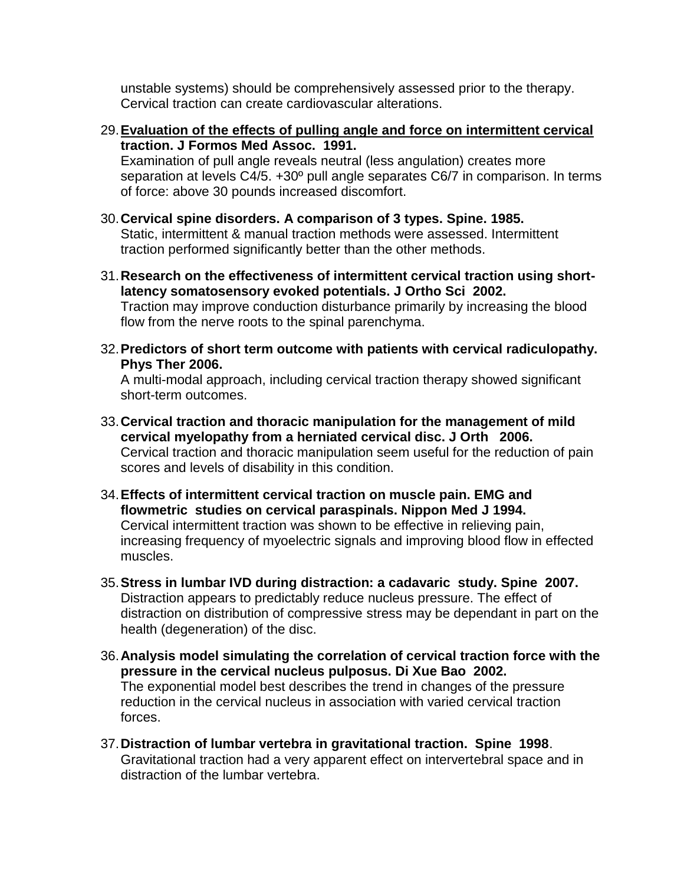unstable systems) should be comprehensively assessed prior to the therapy. Cervical traction can create cardiovascular alterations.

- 29.**Evaluation of the effects of pulling angle and force on intermittent cervical traction. J Formos Med Assoc. 1991.** Examination of pull angle reveals neutral (less angulation) creates more separation at levels C4/5. +30º pull angle separates C6/7 in comparison. In terms of force: above 30 pounds increased discomfort.
- 30.**Cervical spine disorders. A comparison of 3 types. Spine. 1985.** Static, intermittent & manual traction methods were assessed. Intermittent traction performed significantly better than the other methods.
- 31.**Research on the effectiveness of intermittent cervical traction using shortlatency somatosensory evoked potentials. J Ortho Sci 2002.** Traction may improve conduction disturbance primarily by increasing the blood flow from the nerve roots to the spinal parenchyma.
- 32.**Predictors of short term outcome with patients with cervical radiculopathy. Phys Ther 2006.**

A multi-modal approach, including cervical traction therapy showed significant short-term outcomes.

- 33.**Cervical traction and thoracic manipulation for the management of mild cervical myelopathy from a herniated cervical disc. J Orth 2006.** Cervical traction and thoracic manipulation seem useful for the reduction of pain scores and levels of disability in this condition.
- 34.**Effects of intermittent cervical traction on muscle pain. EMG and flowmetric studies on cervical paraspinals. Nippon Med J 1994.** Cervical intermittent traction was shown to be effective in relieving pain, increasing frequency of myoelectric signals and improving blood flow in effected muscles.
- 35.**Stress in lumbar IVD during distraction: a cadavaric study. Spine 2007.** Distraction appears to predictably reduce nucleus pressure. The effect of distraction on distribution of compressive stress may be dependant in part on the health (degeneration) of the disc.
- 36.**Analysis model simulating the correlation of cervical traction force with the pressure in the cervical nucleus pulposus. Di Xue Bao 2002.** The exponential model best describes the trend in changes of the pressure reduction in the cervical nucleus in association with varied cervical traction forces.
- 37.**Distraction of lumbar vertebra in gravitational traction. Spine 1998**. Gravitational traction had a very apparent effect on intervertebral space and in distraction of the lumbar vertebra.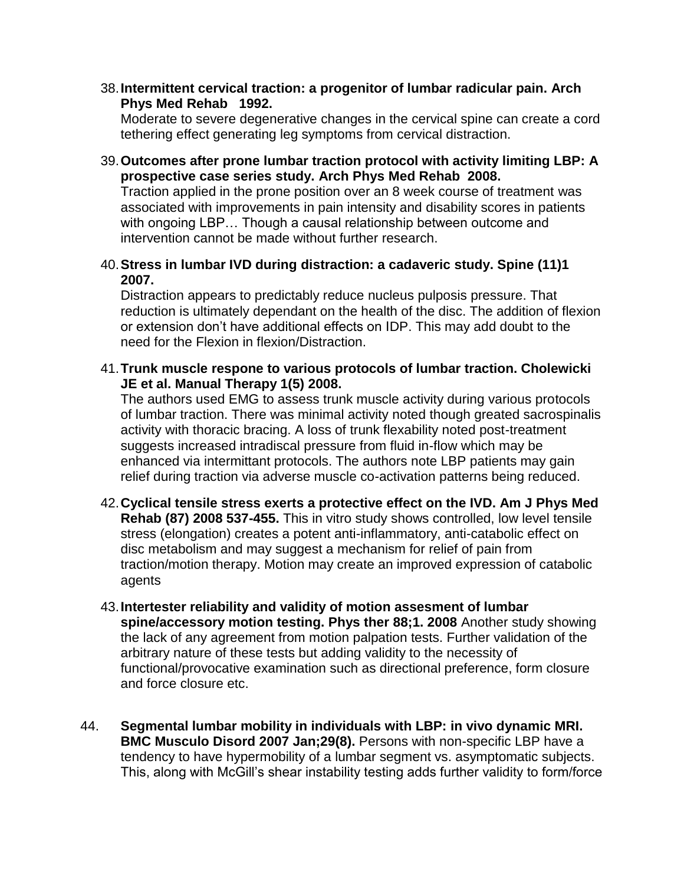38.**Intermittent cervical traction: a progenitor of lumbar radicular pain. Arch Phys Med Rehab 1992.**

Moderate to severe degenerative changes in the cervical spine can create a cord tethering effect generating leg symptoms from cervical distraction.

39.**Outcomes after prone lumbar traction protocol with activity limiting LBP: A prospective case series study. Arch Phys Med Rehab 2008.**

Traction applied in the prone position over an 8 week course of treatment was associated with improvements in pain intensity and disability scores in patients with ongoing LBP… Though a causal relationship between outcome and intervention cannot be made without further research.

40.**Stress in lumbar IVD during distraction: a cadaveric study. Spine (11)1 2007.**

Distraction appears to predictably reduce nucleus pulposis pressure. That reduction is ultimately dependant on the health of the disc. The addition of flexion or extension don"t have additional effects on IDP. This may add doubt to the need for the Flexion in flexion/Distraction.

41.**Trunk muscle respone to various protocols of lumbar traction. Cholewicki JE et al. Manual Therapy 1(5) 2008.**

The authors used EMG to assess trunk muscle activity during various protocols of lumbar traction. There was minimal activity noted though greated sacrospinalis activity with thoracic bracing. A loss of trunk flexability noted post-treatment suggests increased intradiscal pressure from fluid in-flow which may be enhanced via intermittant protocols. The authors note LBP patients may gain relief during traction via adverse muscle co-activation patterns being reduced.

- 42.**Cyclical tensile stress exerts a protective effect on the IVD. Am J Phys Med Rehab (87) 2008 537-455.** This in vitro study shows controlled, low level tensile stress (elongation) creates a potent anti-inflammatory, anti-catabolic effect on disc metabolism and may suggest a mechanism for relief of pain from traction/motion therapy. Motion may create an improved expression of catabolic agents
- 43.**Intertester reliability and validity of motion assesment of lumbar spine/accessory motion testing. Phys ther 88;1. 2008** Another study showing the lack of any agreement from motion palpation tests. Further validation of the arbitrary nature of these tests but adding validity to the necessity of functional/provocative examination such as directional preference, form closure and force closure etc.
- 44. **Segmental lumbar mobility in individuals with LBP: in vivo dynamic MRI. BMC Musculo Disord 2007 Jan;29(8).** Persons with non-specific LBP have a tendency to have hypermobility of a lumbar segment vs. asymptomatic subjects. This, along with McGill"s shear instability testing adds further validity to form/force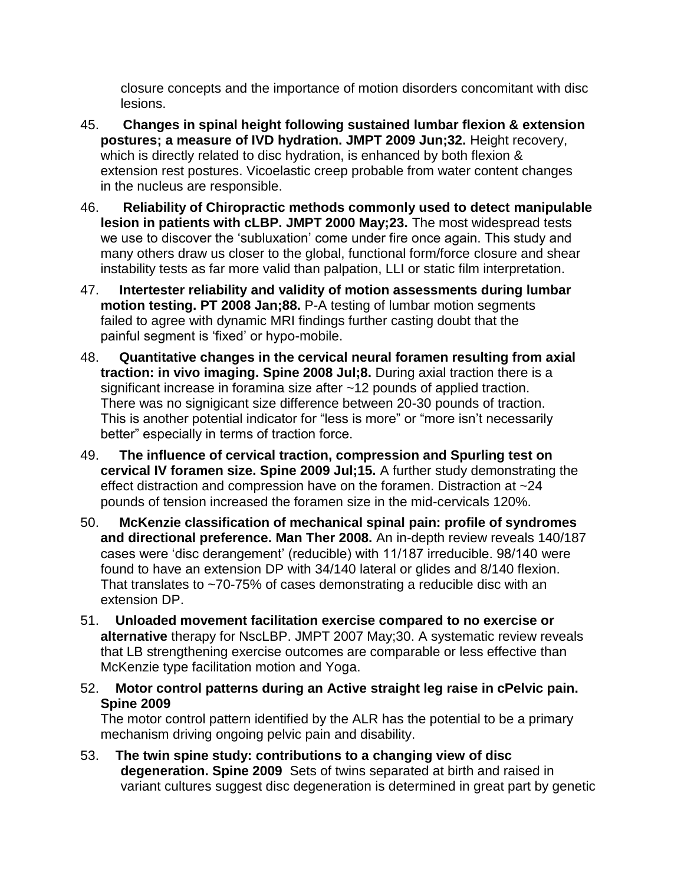closure concepts and the importance of motion disorders concomitant with disc lesions.

- 45. **Changes in spinal height following sustained lumbar flexion & extension postures; a measure of IVD hydration. JMPT 2009 Jun;32.** Height recovery, which is directly related to disc hydration, is enhanced by both flexion & extension rest postures. Vicoelastic creep probable from water content changes in the nucleus are responsible.
- 46. **Reliability of Chiropractic methods commonly used to detect manipulable lesion in patients with cLBP. JMPT 2000 May;23.** The most widespread tests we use to discover the "subluxation" come under fire once again. This study and many others draw us closer to the global, functional form/force closure and shear instability tests as far more valid than palpation, LLI or static film interpretation.
- 47. **Intertester reliability and validity of motion assessments during lumbar motion testing. PT 2008 Jan;88.** P-A testing of lumbar motion segments failed to agree with dynamic MRI findings further casting doubt that the painful segment is "fixed" or hypo-mobile.
- 48. **Quantitative changes in the cervical neural foramen resulting from axial traction: in vivo imaging. Spine 2008 Jul;8.** During axial traction there is a significant increase in foramina size after ~12 pounds of applied traction. There was no signigicant size difference between 20-30 pounds of traction. This is another potential indicator for "less is more" or "more isn"t necessarily better" especially in terms of traction force.
- 49. **The influence of cervical traction, compression and Spurling test on cervical IV foramen size. Spine 2009 Jul;15.** A further study demonstrating the effect distraction and compression have on the foramen. Distraction at ~24 pounds of tension increased the foramen size in the mid-cervicals 120%.
- 50. **McKenzie classification of mechanical spinal pain: profile of syndromes and directional preference. Man Ther 2008.** An in-depth review reveals 140/187 cases were "disc derangement" (reducible) with 11/187 irreducible. 98/140 were found to have an extension DP with 34/140 lateral or glides and 8/140 flexion. That translates to ~70-75% of cases demonstrating a reducible disc with an extension DP.
- 51. **Unloaded movement facilitation exercise compared to no exercise or alternative** therapy for NscLBP. JMPT 2007 May;30. A systematic review reveals that LB strengthening exercise outcomes are comparable or less effective than McKenzie type facilitation motion and Yoga.
- 52. **Motor control patterns during an Active straight leg raise in cPelvic pain. Spine 2009**

The motor control pattern identified by the ALR has the potential to be a primary mechanism driving ongoing pelvic pain and disability.

53. **The twin spine study: contributions to a changing view of disc degeneration. Spine 2009** Sets of twins separated at birth and raised in variant cultures suggest disc degeneration is determined in great part by genetic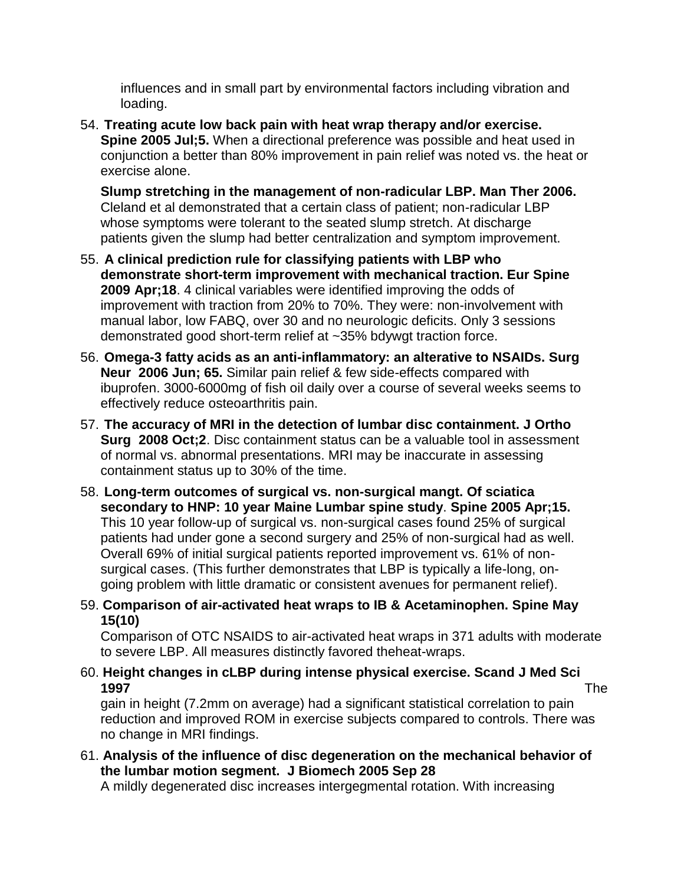influences and in small part by environmental factors including vibration and loading.

54. **Treating acute low back pain with heat wrap therapy and/or exercise. Spine 2005 Jul;5.** When a directional preference was possible and heat used in conjunction a better than 80% improvement in pain relief was noted vs. the heat or exercise alone.

**Slump stretching in the management of non-radicular LBP. Man Ther 2006.**  Cleland et al demonstrated that a certain class of patient; non-radicular LBP whose symptoms were tolerant to the seated slump stretch. At discharge patients given the slump had better centralization and symptom improvement.

- 55. **A clinical prediction rule for classifying patients with LBP who demonstrate short-term improvement with mechanical traction. Eur Spine 2009 Apr;18**. 4 clinical variables were identified improving the odds of improvement with traction from 20% to 70%. They were: non-involvement with manual labor, low FABQ, over 30 and no neurologic deficits. Only 3 sessions demonstrated good short-term relief at ~35% bdywgt traction force.
- 56. **Omega-3 fatty acids as an anti-inflammatory: an alterative to NSAIDs. Surg Neur 2006 Jun; 65.** Similar pain relief & few side-effects compared with ibuprofen. 3000-6000mg of fish oil daily over a course of several weeks seems to effectively reduce osteoarthritis pain.
- 57. **The accuracy of MRI in the detection of lumbar disc containment. J Ortho Surg 2008 Oct;2**. Disc containment status can be a valuable tool in assessment of normal vs. abnormal presentations. MRI may be inaccurate in assessing containment status up to 30% of the time.
- 58. **Long-term outcomes of surgical vs. non-surgical mangt. Of sciatica secondary to HNP: 10 year Maine Lumbar spine study**. **Spine 2005 Apr;15.** This 10 year follow-up of surgical vs. non-surgical cases found 25% of surgical patients had under gone a second surgery and 25% of non-surgical had as well. Overall 69% of initial surgical patients reported improvement vs. 61% of nonsurgical cases. (This further demonstrates that LBP is typically a life-long, ongoing problem with little dramatic or consistent avenues for permanent relief).
- 59. **Comparison of air-activated heat wraps to IB & Acetaminophen. Spine May 15(10)**

Comparison of OTC NSAIDS to air-activated heat wraps in 371 adults with moderate to severe LBP. All measures distinctly favored theheat-wraps.

60. **Height changes in cLBP during intense physical exercise. Scand J Med Sci 1997** The

gain in height (7.2mm on average) had a significant statistical correlation to pain reduction and improved ROM in exercise subjects compared to controls. There was no change in MRI findings.

61. **Analysis of the influence of disc degeneration on the mechanical behavior of the lumbar motion segment. J Biomech 2005 Sep 28** 

A mildly degenerated disc increases intergegmental rotation. With increasing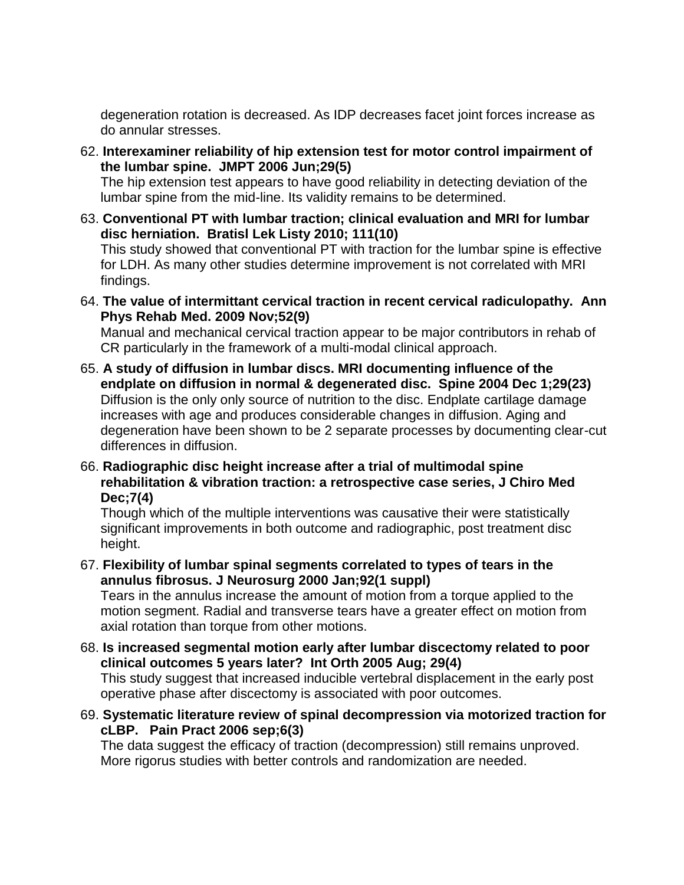degeneration rotation is decreased. As IDP decreases facet joint forces increase as do annular stresses.

62. **Interexaminer reliability of hip extension test for motor control impairment of the lumbar spine. JMPT 2006 Jun;29(5)** 

The hip extension test appears to have good reliability in detecting deviation of the lumbar spine from the mid-line. Its validity remains to be determined.

63. **Conventional PT with lumbar traction; clinical evaluation and MRI for lumbar disc herniation. Bratisl Lek Listy 2010; 111(10)** 

This study showed that conventional PT with traction for the lumbar spine is effective for LDH. As many other studies determine improvement is not correlated with MRI findings.

64. **The value of intermittant cervical traction in recent cervical radiculopathy. Ann Phys Rehab Med. 2009 Nov;52(9)** 

Manual and mechanical cervical traction appear to be major contributors in rehab of CR particularly in the framework of a multi-modal clinical approach.

- 65. **A study of diffusion in lumbar discs. MRI documenting influence of the endplate on diffusion in normal & degenerated disc. Spine 2004 Dec 1;29(23)**  Diffusion is the only only source of nutrition to the disc. Endplate cartilage damage increases with age and produces considerable changes in diffusion. Aging and degeneration have been shown to be 2 separate processes by documenting clear-cut differences in diffusion.
- 66. **Radiographic disc height increase after a trial of multimodal spine rehabilitation & vibration traction: a retrospective case series, J Chiro Med Dec;7(4)**

Though which of the multiple interventions was causative their were statistically significant improvements in both outcome and radiographic, post treatment disc height.

67. **Flexibility of lumbar spinal segments correlated to types of tears in the annulus fibrosus. J Neurosurg 2000 Jan;92(1 suppl)** 

Tears in the annulus increase the amount of motion from a torque applied to the motion segment. Radial and transverse tears have a greater effect on motion from axial rotation than torque from other motions.

- 68. **Is increased segmental motion early after lumbar discectomy related to poor clinical outcomes 5 years later? Int Orth 2005 Aug; 29(4)**  This study suggest that increased inducible vertebral displacement in the early post operative phase after discectomy is associated with poor outcomes.
- 69. **Systematic literature review of spinal decompression via motorized traction for cLBP. Pain Pract 2006 sep;6(3)**

The data suggest the efficacy of traction (decompression) still remains unproved. More rigorus studies with better controls and randomization are needed.